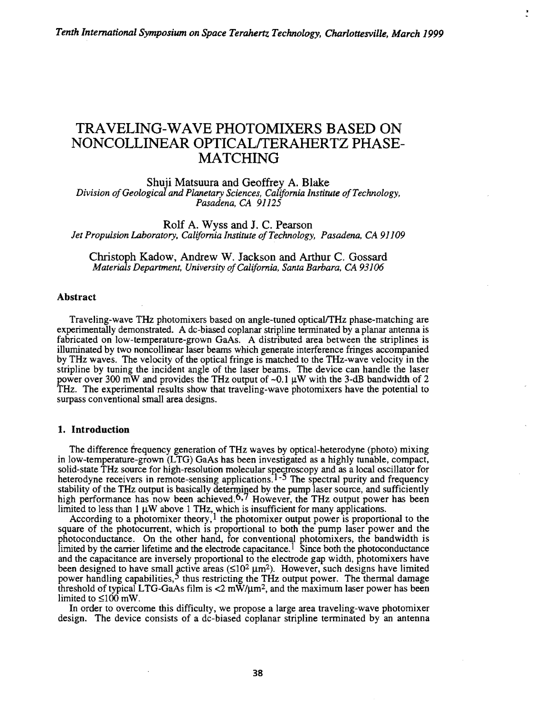# TRAVELING-WAVE PHOTOMIXERS BASED ON NONCOLLINEAR OPTICAL/TERAHERTZ PHASE-MATCHING

Shuji Matsuura and Geoffrey A. Blake *Division of Geological and Planetary Sciences, California Institute of Technology,*  Pasaden~ *CA 91125* 

Rolf A. Wyss and J. C. Pearson *Jet Propulsion Laboratory, California Institute of Technology, Pasadena, CA 91109* 

Christoph Kadow, Andrew W. Jackson and Arthur C. Gossard *Materials Department, University of California, Santa Barbara, CA 93106* 

## Abstract

Traveling-wave THz photomixers based on angle-tuned opticalfTHz phase-matching are experimentally demonstrated. A dc-biased coplanar stripline terminated by a planar antenna is fabricated on low-temperature-grown GaAs. A distributed area between the striplines is illuminated by two noncollinear laser beams which generate interference fringes accompanied by THz waves. The velocity of the optical fringe is matched to the THz-wave velocity in the stripline by tuning the incident angle of the laser beams. The device can handle the laser power over 300 mW and provides the THz output of  $-0.1~\mu$ W with the 3-dB bandwidth of 2 THz. The experimental results show that traveling-wave photomixers have the potential to surpass conventional small area designs.

### 1. Introduction

The difference frequency generation of THz waves by optical-heterodyne (photo) mixing in low-temperature-grown (LTG) GaAs has been investigated as a highly tunable, compact, solid-state THz source for high-resolution molecular spectroscopy and as a local oscillator for heterodyne receivers in remote-sensing applications.<sup>1-5</sup> The spectral purity and frequency stability of the THz output is basically determined by the pump laser source, and sufficiently high performance has now been achieved.<sup>6,7</sup> However, the THz output power has been limited to less than  $1 \mu W$  above  $1 THz$ , which is insufficient for many applications.

According to a photomixer theory,  $\frac{1}{2}$  the photomixer output power is proportional to the square of the photocurrent, which is proportional to both the pump laser power and the photoconductance. On the other hand, for conventional photomixers, the bandwidth is limited by the carrier lifetime and the electrode capacitance.<sup>1</sup> Since both the photoconductance and the capacitance are inversely proportional to the electrode gap width, photomixers have been designed to have small active areas  $(\leq 10^2 \,\mu\text{m}^2)$ . However, such designs have limited power handling capabilities, $\frac{5}{3}$  thus restricting the THz output power. The thermal damage threshold of typical LTG-GaAs film is  $\langle 2 \text{ mW/nm}^2$ , and the maximum laser power has been limited to  $\leq 100$  mW.

In order to overcome this difficulty, we propose a large area traveling-wave photomixer design. The device consists of a de-biased coplanar stripline terminated by an antenna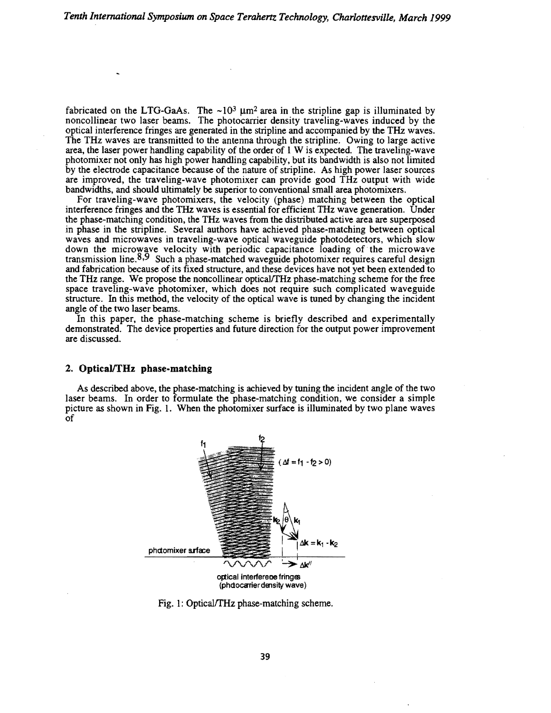fabricated on the LTG-GaAs. The  $\sim 10^3 \mu m^2$  area in the stripline gap is illuminated by noncollinear two laser beams. The photocarrier density traveling-waves induced by the optical interference fringes are generated in the stripline and accompanied by the THz waves. The THz waves are transmitted to the antenna through the stripline. Owing to large active area, the laser power handling capability of the order of 1 W is expected. The traveling-wave photomixer not only has high power handling capability, but its bandwidth is also not limited by the electrode capacitance because of the nature of stripline. As high power laser sources are improved, the traveling-wave photomixer can provide good THz output with wide bandwidths, and should ultimately be superior to conventional small area photomixers.

For traveling-wave photomixers, the velocity (phase) matching between the optical interference fringes and the THz waves is essential for efficient THz wave generation. Under the phase-matching condition, the THz waves from the distributed active area are superposed in phase in the stripline. Several authors have achieved phase-matching between optical waves and microwaves in traveling-wave optical waveguide photodetectors, which slow down the microwave velocity with periodic capacitance loading of· the microwave transmission line.  $8.9$  Such a phase-matched waveguide photomixer requires careful design and fabrication because of its fixed structure, and these devices have not yet been extended to the THz range. We propose the noncollinear optical/THz phase-matching scheme for the free space traveling-wave photomixer, which does not require such complicated waveguide structure. In this method, the velocity of the optical wave is tuned by changing the incident angle of the two laser beams.

In this paper, the phase-matching scheme is briefly described and experimentally demonstrated. The device properties and future direction for the output power improvement are discussed.

## 2. Optical/THz phase-matching

As described above, the phase-matching is achieved by tuning the incident angle of the two laser beams. In order to formulate the phase-matching condition, we consider a simple picture as shown in Fig. l. When the photomixer surface is illuminated by two plane waves of



Fig. 1: Optical/THz phase-matching scheme.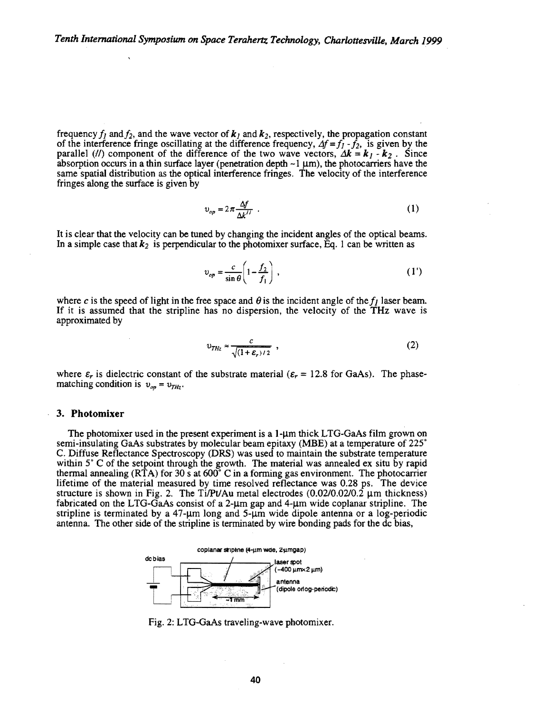frequency  $f_1$  and  $f_2$ , and the wave vector of  $k_1$  and  $k_2$ , respectively, the propagation constant of the interference fringe oscillating at the difference frequency,  $\Delta f = f_1 - f_2$ , is given by the parallel (*II*) component of the difference of the two wave vectors,  $\Delta k = k_l - k_z$ . Since absorption occurs in a thin surface layer (penetration depth  $\sim$ 1  $\mu$ m), the photocarriers have the same spatial distribution as the optical interference fringes. The velocity of the interference fringes along the surface is given by

$$
v_{op} = 2\pi \frac{\Delta f}{\Delta k^{II}} \tag{1}
$$

It is clear that the velocity can be tuned by changing the incident angles of the optical beams. In a simple case that  $k_2$  is perpendicular to the photomixer surface, Eq. 1 can be written as

$$
v_{op} = \frac{c}{\sin \theta} \left( 1 - \frac{f_2}{f_1} \right) , \qquad (1')
$$

where c is the speed of light in the free space and  $\theta$  is the incident angle of the  $f_i$  laser beam. If it is assumed that the stripline has no dispersion, the velocity of the THz wave is approximated by

$$
v_{THz} \approx \frac{c}{\sqrt{(1+\varepsilon_r)/2}} \tag{2}
$$

where  $\varepsilon_r$  is dielectric constant of the substrate material ( $\varepsilon_r = 12.8$  for GaAs). The phasematching condition is  $v_{on} = v_{THz}$ .

#### 3. Photomixer

The photomixer used in the present experiment is a  $1$ - $\mu$ m thick LTG-GaAs film grown on semi-insulating GaAs substrates by molecular beam epitaxy (MBE) at a temperature of 225° C. Diffuse Reflectance Spectroscopy (DRS) was used to maintain the substrate temperature within 5° C of the setpoint through the growth. The material was annealed ex situ by rapid thermal annealing (RTA) for 30 s at 600° C in a forming gas environment. The photocarrier lifetime of the material measured by time resolved reflectance was 0.28 ps. The device structure is shown in Fig. 2. The Ti/Pt/Au metal electrodes  $(0.02/0.02/0.2 \mu m)$  thickness) fabricated on the LTG-GaAs consist of a  $2-\mu m$  gap and  $4-\mu m$  wide coplanar stripline. The stripline is terminated by a  $47-\mu m$  long and  $5-\mu m$  wide dipole antenna or a log-periodic antenna. The other side of the stripline is terminated by wire bonding pads for the de bias,



Fig. 2: LTG-GaAs traveling-wave photomixer.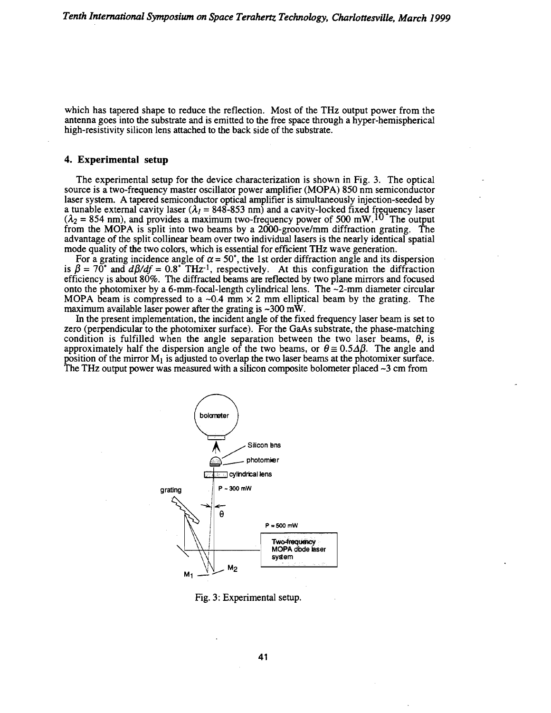which has tapered shape to reduce the reflection. Most of the THz output power from the antenna goes into the substrate and is emitted to the free space through a hyper-hemispherical high-resistivity silicon lens attached to the back side of the substrate.

## 4. Experimental setup

The experimental setup for the device characterization is shown in Fig. 3. The optical source is a two-frequency master oscillator power amplifier (MOPA) 850 nm semiconductor laser system. A tapered semiconductor optical amplifier is simultaneously injection-seeded by a tunable external cavity laser  $(\lambda_1 = 848 - 853 \text{ nm})$  and a cavity-locked fixed frequency laser  $(\lambda_2 = 854 \text{ nm})$ , and provides a maximum two-frequency power of 500 mW.<sup>10</sup> The output from the MOPA is split into two beams by a 2000-groove/mm diffraction grating. The advantage of the split collinear beam over two individual lasers is the nearly identical spatial mode quality of the two colors, which is essential for efficient THz wave generation.

For a grating incidence angle of  $\alpha = 50^\circ$ , the 1st order diffraction angle and its dispersion is  $\beta = 70^{\circ}$  and  $d\beta/df = 0.8^{\circ}$  THz<sup>-1</sup>, respectively. At this configuration the diffraction efficiency is about 80%. The diffracted beams are reflected by two plane mirrors and focused onto the photomixer by a 6-mm-focal-length cylindrical lens. The  $\sim$ 2-mm diameter circular MOPA beam is compressed to a  $\sim 0.4$  mm  $\times 2$  mm elliptical beam by the grating. The maximum available laser power after the grating is  $\sim 300$  mW.

In the present implementation, the incident angle of the fixed frequency laser beam is set to zero (perpendicular to the photomixer surface). For the GaAs substrate, the phase-matching condition is fulfilled when the angle separation between the two laser beams,  $\theta$ , is approximately half the dispersion angle of the two beams, or  $\theta \approx 0.5\Delta\beta$ . The angle and position of the mirror  $M_1$  is adjusted to overlap the two laser beams at the photomixer surface. The THz output power was measured with a silicon composite bolometer placed  $\sim$ 3 cm from



Fig. 3: Experimental setup.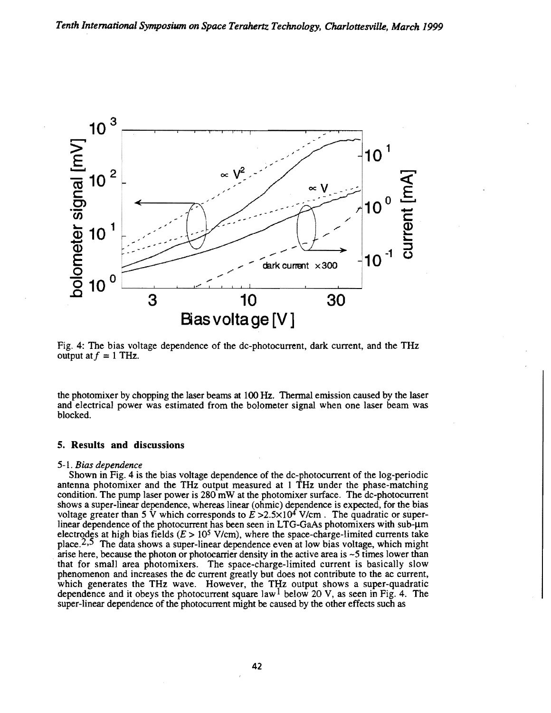

Fig. 4: The bias voltage dependence of the dc-photocurrent, dark current, and the THz output at  $f = 1$  THz.

the photomixer by chopping the laser beams at 100 Hz. Thermal emission caused by the laser and electrical power was estimated from the bolometer signal when one laser beam was blocked.

## 5. Results **and** discussions

#### 5-1. *Bias dependence*

Shown in Fig. 4 is the bias voltage dependence of the dc-photocurrent of the log-periodic antenna photomixer and the THz output measured at 1 THz under the phase-matching condition. The pump laser power is 280 mW at the photomixer surface. The dc-photocurrent shows a super-linear dependence, whereas linear (ohmic) dependence is expected, for the bias voltage greater than 5 V which corresponds to  $E > 2.5 \times 10^4$  V/cm. The quadratic or superlinear dependence of the photocurrent has been seen in LTG-GaAs photomixers with sub- $\mu$ m electrodes at high bias fields  $(E > 10^5 \text{ V/cm})$ , where the space-charge-limited currents take place.<sup>2,5</sup> The data shows a super-linear dependence even at low bias voltage, which might arise here, because the photon or photocarrier density in the active area is  $\sim$  5 times lower than that for small area photomixers. The space-charge-limited current is basically slow phenomenon and increases the de current greatly but does not contribute to the ac current, which generates the THz wave. However, the THz output shows a super-quadratic dependence and it obeys the photocurrent square law  $1$  below 20 V, as seen in Fig. 4. The super-linear dependence of the photocurrent might be caused by the other effects such as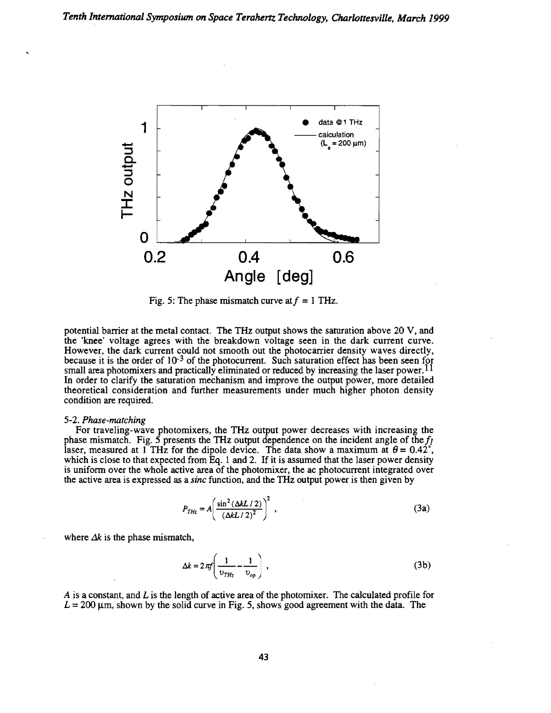

Fig. 5: The phase mismatch curve at  $f = 1$  THz.

potential barrier at the metal contact. The THz output shows the saturation above 20 V, and the 'knee' voltage agrees with the breakdown voltage seen in the dark current curve. However, the dark current could not smooth out the photocarrier density waves directly, because it is the order of  $10^{-3}$  of the photocurrent. Such saturation effect has been seen for small area photomixers and practically eliminated or reduced by increasing the laser power.<sup>11</sup> In order to clarify the saturation mechanism and improve the output power, more detailed theoretical consideration and further measurements under much higher photon density condition are required.

## 5-2. *Phase-matching*

For traveling-wave photomixers, the THz output power decreases with increasing the phase mismatch. Fig. 5 presents the THz output dependence on the incident angle of the  $f_1$ laser, measured at 1 THz for the dipole device. The data show a maximum at  $\theta = 0.42^{\circ}$ , which is close to that expected from Eq. 1 and 2. If it is assumed that the laser power density is uniform over the whole active area of the photomixer, the ac photocurrent integrated over the active area is expressed as a *sine* function, and the THz output power is then given by

$$
P_{THz} = A \left( \frac{\sin^2(\Delta k L / 2)}{(\Delta k L / 2)^2} \right)^2, \tag{3a}
$$

where  $\Delta k$  is the phase mismatch,

$$
\Delta k = 2\pi f \left( \frac{1}{v_{THz}} - \frac{1}{v_{op}} \right) \,, \tag{3b}
$$

*A* is a constant, and *L* is the length of active area of the photomixer. The calculated profile for  $L = 200 \mu$ m, shown by the solid curve in Fig. 5, shows good agreement with the data. The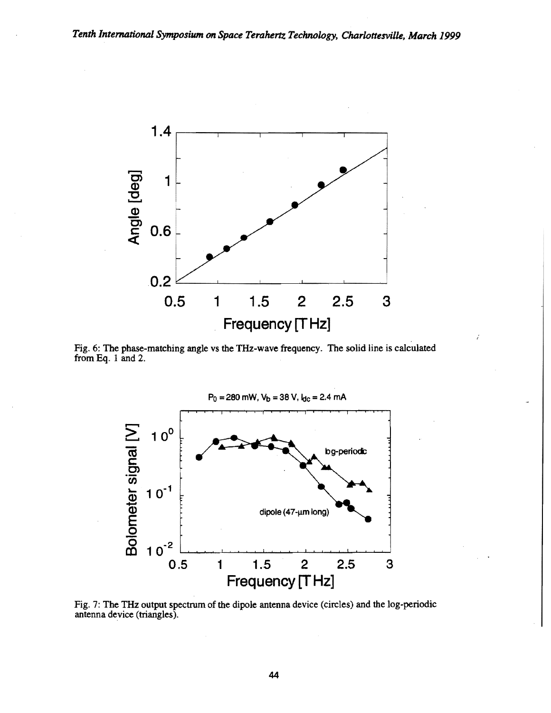

Fig. 6: The phase-matching angle vs the THz-wave frequency. The solid line is calculated from Eq. 1 and 2.



Fig. 7: The THz output spectrum of the dipole antenna device (circles) and the log-periodic antenna device (triangles).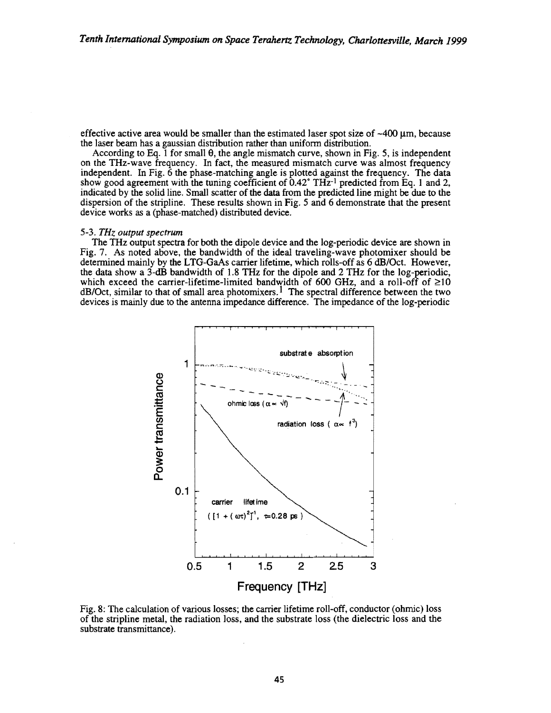effective active area would be smaller than the estimated laser spot size of  $\sim$ 400  $\mu$ m, because the laser beam has a gaussian distribution rather than uniform distribution.

According to Eq. 1 for small 9, the angle mismatch curve, shown in Fig. 5, is independent on the THz-wave frequency. In fact, the measured mismatch curve was almost frequency independent. In Fig. 6 the phase-matching angle is plotted against the frequency. The data show good agreement with the tuning coefficient of  $0.42^{\circ}$  TH $\bar{z}$ -1 predicted from Eq. 1 and 2, indicated by the solid line. Small scatter of the data from the predicted line might be due to the dispersion of the stripline. These results shown in Fig. 5 and 6 demonstrate that the present device works as a (phase-matched) distributed device.

#### 5-3. *THz output spectrum*

The THz output spectra for both the dipole device and the log-periodic device are shown in Fig. 7. As noted above, the bandwidth of the ideal traveling-wave photomixer should be determined mainly by the LTG-GaAs carrier lifetime, which rolls-off as 6 dB/Oct. However, the data show a 3-dB bandwidth of 1.8 THz for the dipole and 2 THz for the log-periodic, which exceed the carrier-lifetime-limited bandwidth of 600 GHz, and a roll-off of  $\geq$ 10  $dB/Oct$ , similar to that of small area photomixers.<sup>1</sup> The spectral difference between the two devices is mainly due to the antenna impedance difference. The impedance of the log-periodic



Fig. 8: The calculation of various losses; the carrier lifetime roll-off, conductor (ohmic) loss of the stripline metal, the radiation loss, and the substrate loss (the dielectric loss and the substrate transmittance).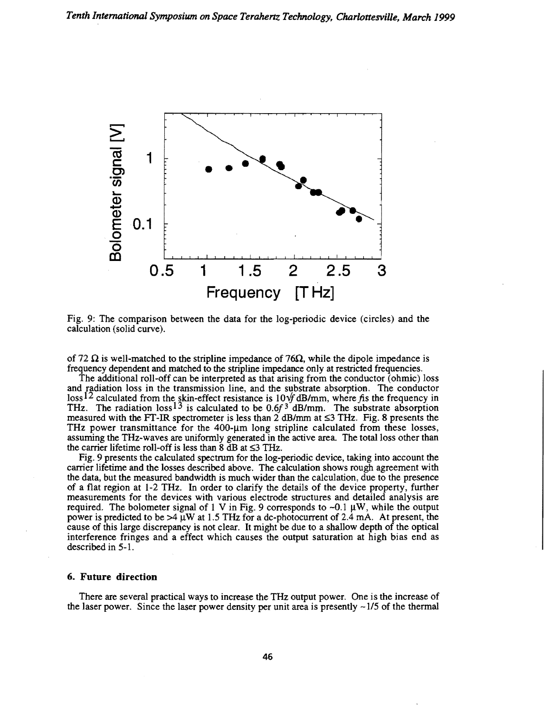

Fig. 9: The comparison between the data for the log-periodic device (circles) and the calculation (solid curve).

of 72  $\Omega$  is well-matched to the stripline impedance of 76 $\Omega$ , while the dipole impedance is frequency dependent and matched to the stripline impedance only at restricted frequencies.

The additional roll-off can be interpreted as that arising from the conductor (ohmic) loss and radiation loss in the transmission line, and the substrate absorption. The conductor loss<sup>12</sup> calculated from the skin-effect resistance is  $10\sqrt{f}$  dB/mm, where fis the frequency in THz. The radiation  $loss^{13}$  is calculated to be 0.6 $f^3$  dB/mm. The substrate absorption measured with the FT-IR spectrometer is less than 2 dB/mm at  $\leq$ 3 THz. Fig. 8 presents the THz power transmittance for the  $400-\mu m$  long stripline calculated from these losses, assuming the THz-waves are uniformly generated in the active area. The total loss other than the carrier lifetime roll-off is less than  $\bar{8}$  dB at  $\leq$ 3 THz.

Fig. 9 presents the calculated spectrum for the log-periodic device, taking into account the carrier lifetime and the losses described above. The calculation shows rough agreement with the data, but the measured bandwidth is much wider than the calculation, due to the presence of a flat region at 1-2 THz. In order to clarify the details of the device property, further measurements for the devices with various electrode structures and detailed analysis are required. The bolometer signal of 1 V in Fig. 9 corresponds to  $-0.1 \mu W$ , while the output power is predicted to be  $>4 \mu W$  at 1.5 THz for a dc-photocurrent of 2.4 mA. At present, the cause of this large discrepancy is not clear. It might be due to a shallow depth of the optical interference fringes and a effect which causes the output saturation at high bias end as described in 5-1.

## 6. Future direction

There are several practical ways to increase the THz output power. One is the increase of the laser power. Since the laser power density per unit area is presently  $\sim$  1/5 of the thermal